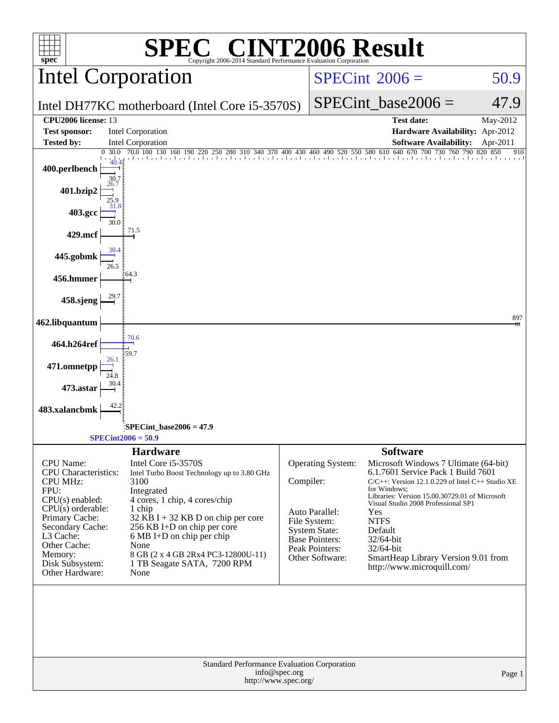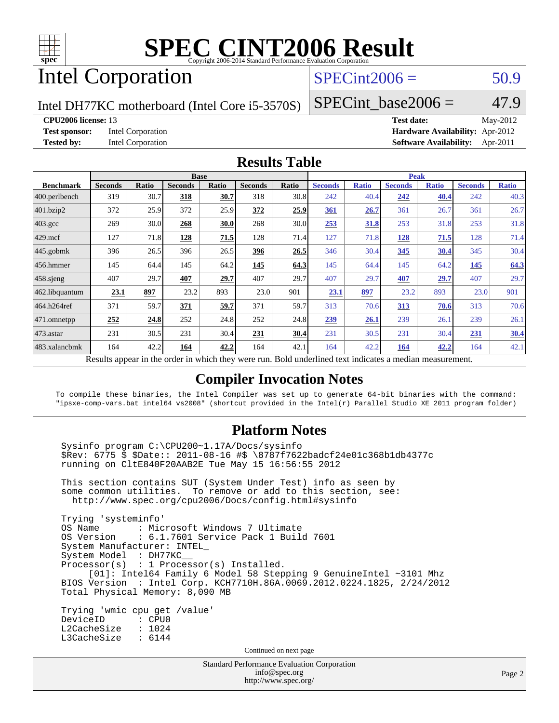

# Intel Corporation

## $SPECint2006 = 50.9$  $SPECint2006 = 50.9$

Intel DH77KC motherboard (Intel Core i5-3570S)

**[CPU2006 license:](http://www.spec.org/auto/cpu2006/Docs/result-fields.html#CPU2006license)** 13 **[Test date:](http://www.spec.org/auto/cpu2006/Docs/result-fields.html#Testdate)** May-2012 **[Test sponsor:](http://www.spec.org/auto/cpu2006/Docs/result-fields.html#Testsponsor)** Intel Corporation **[Hardware Availability:](http://www.spec.org/auto/cpu2006/Docs/result-fields.html#HardwareAvailability)** Apr-2012 **[Tested by:](http://www.spec.org/auto/cpu2006/Docs/result-fields.html#Testedby)** Intel Corporation **[Software Availability:](http://www.spec.org/auto/cpu2006/Docs/result-fields.html#SoftwareAvailability)** Apr-2011

 $SPECTnt\_base2006 = 47.9$ 

### **[Results Table](http://www.spec.org/auto/cpu2006/Docs/result-fields.html#ResultsTable)**

|                  | <b>Base</b>    |       |                |          |                |                           | <b>Peak</b>         |              |                |              |                |              |
|------------------|----------------|-------|----------------|----------|----------------|---------------------------|---------------------|--------------|----------------|--------------|----------------|--------------|
| <b>Benchmark</b> | <b>Seconds</b> | Ratio | <b>Seconds</b> | Ratio    | <b>Seconds</b> | Ratio                     | <b>Seconds</b>      | <b>Ratio</b> | <b>Seconds</b> | <b>Ratio</b> | <b>Seconds</b> | <b>Ratio</b> |
| 400.perlbench    | 319            | 30.7  | 318            | 30.7     | 318            | 30.8                      | 242                 | 40.4         | 242            | 40.4         | 242            | 40.3         |
| 401.bzip2        | 372            | 25.9  | 372            | 25.9     | 372            | 25.9                      | <u>361</u>          | 26.7         | 361            | 26.7         | 361            | 26.7         |
| $403.\text{gcc}$ | 269            | 30.0  | 268            | 30.0     | 268            | 30.0                      | 253                 | 31.8         | 253            | 31.8         | 253            | 31.8         |
| $429$ .mcf       | 127            | 71.8  | 128            | 71.5     | 128            | 71.4                      | 127                 | 71.8         | <u>128</u>     | 71.5         | 128            | 71.4         |
| $445$ .gobmk     | 396            | 26.5  | 396            | 26.5     | 396            | 26.5                      | 346                 | 30.4         | 345            | 30.4         | 345            | 30.4         |
| 456.hmmer        | 145            | 64.4  | 145            | 64.2     | 145            | 64.3                      | 145                 | 64.4         | 145            | 64.2         | 145            | 64.3         |
| $458$ .sjeng     | 407            | 29.7  | 407            | 29.7     | 407            | 29.7                      | 407                 | 29.7         | 407            | 29.7         | 407            | 29.7         |
| 462.libquantum   | 23.1           | 897   | 23.2           | 893      | 23.0           | 901                       | 23.1                | 897          | 23.2           | 893          | 23.0           | 901          |
| 464.h264ref      | 371            | 59.7  | 371            | 59.7     | 371            | 59.7                      | 313                 | 70.6         | 313            | 70.6         | 313            | 70.6         |
| $471$ .omnetpp   | 252            | 24.8  | 252            | 24.8     | 252            | 24.8                      | 239                 | 26.1         | 239            | 26.1         | 239            | 26.1         |
| 473.astar        | 231            | 30.5  | 231            | 30.4     | 231            | 30.4                      | 231                 | 30.5         | 231            | 30.4         | 231            | <u>30.4</u>  |
| 483.xalancbmk    | 164            | 42.2  | 164            | 42.2     | 164            | 42.1                      | 164                 | 42.2         | 164            | <u>42.2</u>  | 164            | 42.1         |
| n.               | $\mathbf{1}$ . |       |                | $\cdots$ |                | $\mathbf{r}$ $\mathbf{r}$ | 1.1<br>$\mathbf{1}$ | $\cdot$      | $\cdot$        |              |                |              |

Results appear in the [order in which they were run.](http://www.spec.org/auto/cpu2006/Docs/result-fields.html#RunOrder) Bold underlined text [indicates a median measurement.](http://www.spec.org/auto/cpu2006/Docs/result-fields.html#Median)

### **[Compiler Invocation Notes](http://www.spec.org/auto/cpu2006/Docs/result-fields.html#CompilerInvocationNotes)**

To compile these binaries, the Intel Compiler was set up to generate 64-bit binaries with the command: "ipsxe-comp-vars.bat intel64 vs2008" (shortcut provided in the Intel(r) Parallel Studio XE 2011 program folder)

### **[Platform Notes](http://www.spec.org/auto/cpu2006/Docs/result-fields.html#PlatformNotes)**

 Sysinfo program C:\CPU200~1.17A/Docs/sysinfo \$Rev: 6775 \$ \$Date:: 2011-08-16 #\$ \8787f7622badcf24e01c368b1db4377c running on CltE840F20AAB2E Tue May 15 16:56:55 2012

 This section contains SUT (System Under Test) info as seen by some common utilities. To remove or add to this section, see: <http://www.spec.org/cpu2006/Docs/config.html#sysinfo>

 Trying 'systeminfo' : Microsoft Windows 7 Ultimate OS Version : 6.1.7601 Service Pack 1 Build 7601 System Manufacturer: INTEL\_ System Model : DH77KC\_\_ Processor(s) : 1 Processor(s) Installed. [01]: Intel64 Family 6 Model 58 Stepping 9 GenuineIntel ~3101 Mhz BIOS Version : Intel Corp. KCH7710H.86A.0069.2012.0224.1825, 2/24/2012 Total Physical Memory: 8,090 MB

 Trying 'wmic cpu get /value' DeviceID : CPU0 L2CacheSize : 1024 L3CacheSize : 6144

Continued on next page

Standard Performance Evaluation Corporation [info@spec.org](mailto:info@spec.org) <http://www.spec.org/>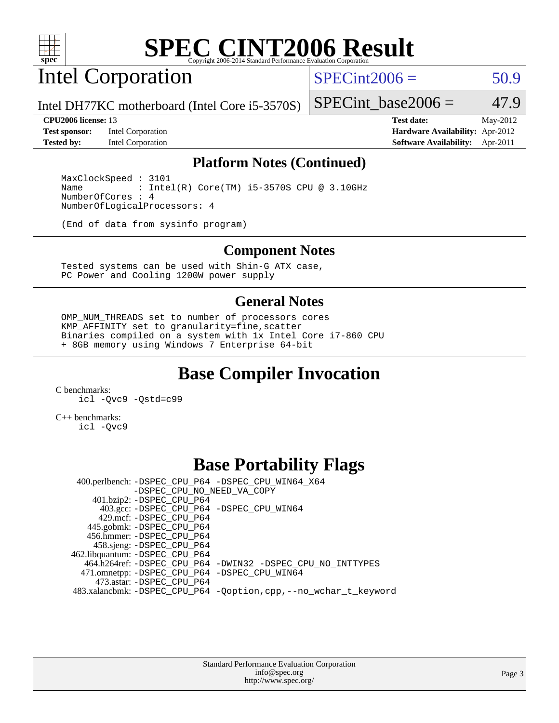

Intel Corporation

 $SPECint2006 = 50.9$  $SPECint2006 = 50.9$ 

Intel DH77KC motherboard (Intel Core i5-3570S)

**[Test sponsor:](http://www.spec.org/auto/cpu2006/Docs/result-fields.html#Testsponsor)** Intel Corporation **[Hardware Availability:](http://www.spec.org/auto/cpu2006/Docs/result-fields.html#HardwareAvailability)** Apr-2012

SPECint base2006 =  $47.9$ **[CPU2006 license:](http://www.spec.org/auto/cpu2006/Docs/result-fields.html#CPU2006license)** 13 **[Test date:](http://www.spec.org/auto/cpu2006/Docs/result-fields.html#Testdate)** May-2012

**[Tested by:](http://www.spec.org/auto/cpu2006/Docs/result-fields.html#Testedby)** Intel Corporation **[Software Availability:](http://www.spec.org/auto/cpu2006/Docs/result-fields.html#SoftwareAvailability)** Apr-2011

### **[Platform Notes \(Continued\)](http://www.spec.org/auto/cpu2006/Docs/result-fields.html#PlatformNotes)**

 MaxClockSpeed : 3101 Name : Intel(R) Core(TM) i5-3570S CPU @ 3.10GHz NumberOfCores : 4 NumberOfLogicalProcessors: 4

(End of data from sysinfo program)

### **[Component Notes](http://www.spec.org/auto/cpu2006/Docs/result-fields.html#ComponentNotes)**

 Tested systems can be used with Shin-G ATX case, PC Power and Cooling 1200W power supply

### **[General Notes](http://www.spec.org/auto/cpu2006/Docs/result-fields.html#GeneralNotes)**

 OMP\_NUM\_THREADS set to number of processors cores KMP\_AFFINITY set to granularity=fine,scatter Binaries compiled on a system with 1x Intel Core i7-860 CPU + 8GB memory using Windows 7 Enterprise 64-bit

## **[Base Compiler Invocation](http://www.spec.org/auto/cpu2006/Docs/result-fields.html#BaseCompilerInvocation)**

[C benchmarks](http://www.spec.org/auto/cpu2006/Docs/result-fields.html#Cbenchmarks):

[icl -Qvc9](http://www.spec.org/cpu2006/results/res2012q3/cpu2006-20120702-23380.flags.html#user_CCbase_intel_icc_vc9_6b5741b4033b9dc48df324263d9561bc) [-Qstd=c99](http://www.spec.org/cpu2006/results/res2012q3/cpu2006-20120702-23380.flags.html#user_CCbase_intel_compiler_c99_mode_1a3d110e3041b3ad4466830521bdad2a)

[C++ benchmarks:](http://www.spec.org/auto/cpu2006/Docs/result-fields.html#CXXbenchmarks) [icl -Qvc9](http://www.spec.org/cpu2006/results/res2012q3/cpu2006-20120702-23380.flags.html#user_CXXbase_intel_icc_vc9_6b5741b4033b9dc48df324263d9561bc)

## **[Base Portability Flags](http://www.spec.org/auto/cpu2006/Docs/result-fields.html#BasePortabilityFlags)**

 400.perlbench: [-DSPEC\\_CPU\\_P64](http://www.spec.org/cpu2006/results/res2012q3/cpu2006-20120702-23380.flags.html#b400.perlbench_basePORTABILITY_DSPEC_CPU_P64) [-DSPEC\\_CPU\\_WIN64\\_X64](http://www.spec.org/cpu2006/results/res2012q3/cpu2006-20120702-23380.flags.html#b400.perlbench_baseCPORTABILITY_DSPEC_CPU_WIN64_X64) [-DSPEC\\_CPU\\_NO\\_NEED\\_VA\\_COPY](http://www.spec.org/cpu2006/results/res2012q3/cpu2006-20120702-23380.flags.html#b400.perlbench_baseCPORTABILITY_DSPEC_CPU_NO_NEED_VA_COPY) 401.bzip2: [-DSPEC\\_CPU\\_P64](http://www.spec.org/cpu2006/results/res2012q3/cpu2006-20120702-23380.flags.html#suite_basePORTABILITY401_bzip2_DSPEC_CPU_P64) 403.gcc: [-DSPEC\\_CPU\\_P64](http://www.spec.org/cpu2006/results/res2012q3/cpu2006-20120702-23380.flags.html#suite_basePORTABILITY403_gcc_DSPEC_CPU_P64) [-DSPEC\\_CPU\\_WIN64](http://www.spec.org/cpu2006/results/res2012q3/cpu2006-20120702-23380.flags.html#b403.gcc_baseCPORTABILITY_DSPEC_CPU_WIN64) 429.mcf: [-DSPEC\\_CPU\\_P64](http://www.spec.org/cpu2006/results/res2012q3/cpu2006-20120702-23380.flags.html#suite_basePORTABILITY429_mcf_DSPEC_CPU_P64) 445.gobmk: [-DSPEC\\_CPU\\_P64](http://www.spec.org/cpu2006/results/res2012q3/cpu2006-20120702-23380.flags.html#suite_basePORTABILITY445_gobmk_DSPEC_CPU_P64) 456.hmmer: [-DSPEC\\_CPU\\_P64](http://www.spec.org/cpu2006/results/res2012q3/cpu2006-20120702-23380.flags.html#suite_basePORTABILITY456_hmmer_DSPEC_CPU_P64) 458.sjeng: [-DSPEC\\_CPU\\_P64](http://www.spec.org/cpu2006/results/res2012q3/cpu2006-20120702-23380.flags.html#suite_basePORTABILITY458_sjeng_DSPEC_CPU_P64) 462.libquantum: [-DSPEC\\_CPU\\_P64](http://www.spec.org/cpu2006/results/res2012q3/cpu2006-20120702-23380.flags.html#suite_basePORTABILITY462_libquantum_DSPEC_CPU_P64) 464.h264ref: [-DSPEC\\_CPU\\_P64](http://www.spec.org/cpu2006/results/res2012q3/cpu2006-20120702-23380.flags.html#suite_basePORTABILITY464_h264ref_DSPEC_CPU_P64) [-DWIN32](http://www.spec.org/cpu2006/results/res2012q3/cpu2006-20120702-23380.flags.html#b464.h264ref_baseCPORTABILITY_DWIN32) [-DSPEC\\_CPU\\_NO\\_INTTYPES](http://www.spec.org/cpu2006/results/res2012q3/cpu2006-20120702-23380.flags.html#b464.h264ref_baseCPORTABILITY_DSPEC_CPU_NO_INTTYPES) 471.omnetpp: [-DSPEC\\_CPU\\_P64](http://www.spec.org/cpu2006/results/res2012q3/cpu2006-20120702-23380.flags.html#suite_basePORTABILITY471_omnetpp_DSPEC_CPU_P64) [-DSPEC\\_CPU\\_WIN64](http://www.spec.org/cpu2006/results/res2012q3/cpu2006-20120702-23380.flags.html#b471.omnetpp_baseCXXPORTABILITY_DSPEC_CPU_WIN64) 473.astar: [-DSPEC\\_CPU\\_P64](http://www.spec.org/cpu2006/results/res2012q3/cpu2006-20120702-23380.flags.html#suite_basePORTABILITY473_astar_DSPEC_CPU_P64) 483.xalancbmk: [-DSPEC\\_CPU\\_P64](http://www.spec.org/cpu2006/results/res2012q3/cpu2006-20120702-23380.flags.html#suite_basePORTABILITY483_xalancbmk_DSPEC_CPU_P64) [-Qoption,cpp,--no\\_wchar\\_t\\_keyword](http://www.spec.org/cpu2006/results/res2012q3/cpu2006-20120702-23380.flags.html#user_baseCXXPORTABILITY483_xalancbmk_f-no_wchar_t_keyword_ec0ad4495a16b4e858bfcb29d949d25d)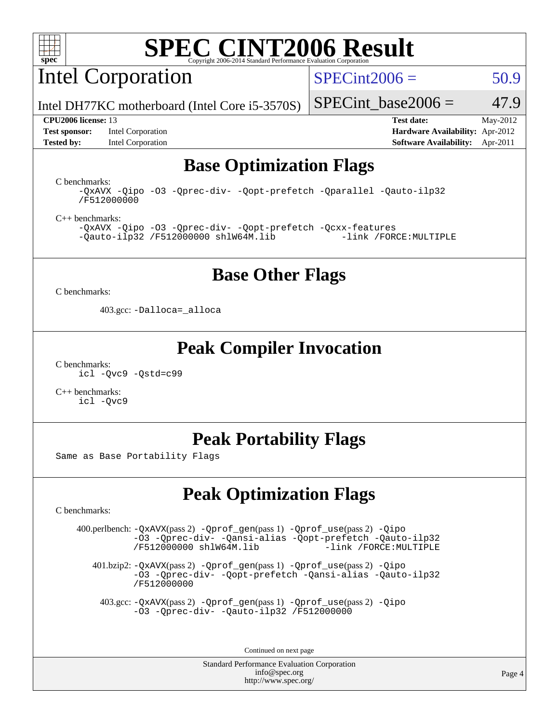

Intel Corporation

 $SPECint2006 = 50.9$  $SPECint2006 = 50.9$ 

Intel DH77KC motherboard (Intel Core i5-3570S)

**[Tested by:](http://www.spec.org/auto/cpu2006/Docs/result-fields.html#Testedby)** Intel Corporation **[Software Availability:](http://www.spec.org/auto/cpu2006/Docs/result-fields.html#SoftwareAvailability)** Apr-2011

**[CPU2006 license:](http://www.spec.org/auto/cpu2006/Docs/result-fields.html#CPU2006license)** 13 **[Test date:](http://www.spec.org/auto/cpu2006/Docs/result-fields.html#Testdate)** May-2012 **[Test sponsor:](http://www.spec.org/auto/cpu2006/Docs/result-fields.html#Testsponsor)** Intel Corporation **[Hardware Availability:](http://www.spec.org/auto/cpu2006/Docs/result-fields.html#HardwareAvailability)** Apr-2012

SPECint base2006 =  $47.9$ 

## **[Base Optimization Flags](http://www.spec.org/auto/cpu2006/Docs/result-fields.html#BaseOptimizationFlags)**

[C benchmarks](http://www.spec.org/auto/cpu2006/Docs/result-fields.html#Cbenchmarks): [/F512000000](http://www.spec.org/cpu2006/results/res2012q3/cpu2006-20120702-23380.flags.html#user_CCbase_set_stack_space_98438a10eb60aa5f35f4c79d9b9b27b1)

[-QxAVX](http://www.spec.org/cpu2006/results/res2012q3/cpu2006-20120702-23380.flags.html#user_CCbase_f-QxAVX) [-Qipo](http://www.spec.org/cpu2006/results/res2012q3/cpu2006-20120702-23380.flags.html#user_CCbase_f-Qipo) [-O3](http://www.spec.org/cpu2006/results/res2012q3/cpu2006-20120702-23380.flags.html#user_CCbase_f-O3) [-Qprec-div-](http://www.spec.org/cpu2006/results/res2012q3/cpu2006-20120702-23380.flags.html#user_CCbase_f-Qprec-div-) [-Qopt-prefetch](http://www.spec.org/cpu2006/results/res2012q3/cpu2006-20120702-23380.flags.html#user_CCbase_f-Qprefetch_37c211608666b9dff9380561f602f0a8) [-Qparallel](http://www.spec.org/cpu2006/results/res2012q3/cpu2006-20120702-23380.flags.html#user_CCbase_f-Qparallel) [-Qauto-ilp32](http://www.spec.org/cpu2006/results/res2012q3/cpu2006-20120702-23380.flags.html#user_CCbase_f-Qauto-ilp32)

[C++ benchmarks:](http://www.spec.org/auto/cpu2006/Docs/result-fields.html#CXXbenchmarks)

[-QxAVX](http://www.spec.org/cpu2006/results/res2012q3/cpu2006-20120702-23380.flags.html#user_CXXbase_f-QxAVX) [-Qipo](http://www.spec.org/cpu2006/results/res2012q3/cpu2006-20120702-23380.flags.html#user_CXXbase_f-Qipo) [-O3](http://www.spec.org/cpu2006/results/res2012q3/cpu2006-20120702-23380.flags.html#user_CXXbase_f-O3) [-Qprec-div-](http://www.spec.org/cpu2006/results/res2012q3/cpu2006-20120702-23380.flags.html#user_CXXbase_f-Qprec-div-) [-Qopt-prefetch](http://www.spec.org/cpu2006/results/res2012q3/cpu2006-20120702-23380.flags.html#user_CXXbase_f-Qprefetch_37c211608666b9dff9380561f602f0a8) [-Qcxx-features](http://www.spec.org/cpu2006/results/res2012q3/cpu2006-20120702-23380.flags.html#user_CXXbase_f-Qcxx_features_dbf36c8a6dba956e22f1645e4dcd4d98)  $-Qauto-ilp32 /F512000000$  $-Qauto-ilp32 /F512000000$  $-Qauto-ilp32 /F512000000$  [shlW64M.lib](http://www.spec.org/cpu2006/results/res2012q3/cpu2006-20120702-23380.flags.html#user_CXXbase_SmartHeap64_c4f7f76711bdf8c0633a5c1edf6e5396)

### **[Base Other Flags](http://www.spec.org/auto/cpu2006/Docs/result-fields.html#BaseOtherFlags)**

[C benchmarks](http://www.spec.org/auto/cpu2006/Docs/result-fields.html#Cbenchmarks):

403.gcc: [-Dalloca=\\_alloca](http://www.spec.org/cpu2006/results/res2012q3/cpu2006-20120702-23380.flags.html#b403.gcc_baseEXTRA_CFLAGS_Dalloca_be3056838c12de2578596ca5467af7f3)

### **[Peak Compiler Invocation](http://www.spec.org/auto/cpu2006/Docs/result-fields.html#PeakCompilerInvocation)**

[C benchmarks](http://www.spec.org/auto/cpu2006/Docs/result-fields.html#Cbenchmarks): [icl -Qvc9](http://www.spec.org/cpu2006/results/res2012q3/cpu2006-20120702-23380.flags.html#user_CCpeak_intel_icc_vc9_6b5741b4033b9dc48df324263d9561bc) [-Qstd=c99](http://www.spec.org/cpu2006/results/res2012q3/cpu2006-20120702-23380.flags.html#user_CCpeak_intel_compiler_c99_mode_1a3d110e3041b3ad4466830521bdad2a)

[C++ benchmarks:](http://www.spec.org/auto/cpu2006/Docs/result-fields.html#CXXbenchmarks) [icl -Qvc9](http://www.spec.org/cpu2006/results/res2012q3/cpu2006-20120702-23380.flags.html#user_CXXpeak_intel_icc_vc9_6b5741b4033b9dc48df324263d9561bc)

## **[Peak Portability Flags](http://www.spec.org/auto/cpu2006/Docs/result-fields.html#PeakPortabilityFlags)**

Same as Base Portability Flags

## **[Peak Optimization Flags](http://www.spec.org/auto/cpu2006/Docs/result-fields.html#PeakOptimizationFlags)**

[C benchmarks](http://www.spec.org/auto/cpu2006/Docs/result-fields.html#Cbenchmarks):

 400.perlbench: [-QxAVX](http://www.spec.org/cpu2006/results/res2012q3/cpu2006-20120702-23380.flags.html#user_peakPASS2_CFLAGSPASS2_LDFLAGS400_perlbench_f-QxAVX)(pass 2) [-Qprof\\_gen](http://www.spec.org/cpu2006/results/res2012q3/cpu2006-20120702-23380.flags.html#user_peakPASS1_CFLAGSPASS1_LDFLAGS400_perlbench_Qprof_gen)(pass 1) [-Qprof\\_use](http://www.spec.org/cpu2006/results/res2012q3/cpu2006-20120702-23380.flags.html#user_peakPASS2_CFLAGSPASS2_LDFLAGS400_perlbench_Qprof_use)(pass 2) [-Qipo](http://www.spec.org/cpu2006/results/res2012q3/cpu2006-20120702-23380.flags.html#user_peakOPTIMIZE400_perlbench_f-Qipo) [-O3](http://www.spec.org/cpu2006/results/res2012q3/cpu2006-20120702-23380.flags.html#user_peakOPTIMIZE400_perlbench_f-O3) [-Qprec-div-](http://www.spec.org/cpu2006/results/res2012q3/cpu2006-20120702-23380.flags.html#user_peakOPTIMIZE400_perlbench_f-Qprec-div-) [-Qansi-alias](http://www.spec.org/cpu2006/results/res2012q3/cpu2006-20120702-23380.flags.html#user_peakOPTIMIZE400_perlbench_f-Qansi-alias) [-Qopt-prefetch](http://www.spec.org/cpu2006/results/res2012q3/cpu2006-20120702-23380.flags.html#user_peakOPTIMIZE400_perlbench_f-Qprefetch_37c211608666b9dff9380561f602f0a8) [-Qauto-ilp32](http://www.spec.org/cpu2006/results/res2012q3/cpu2006-20120702-23380.flags.html#user_peakCOPTIMIZE400_perlbench_f-Qauto-ilp32)  $/F512000000$  [shlW64M.lib](http://www.spec.org/cpu2006/results/res2012q3/cpu2006-20120702-23380.flags.html#user_peakEXTRA_LIBS400_perlbench_SmartHeap64_c4f7f76711bdf8c0633a5c1edf6e5396)

 401.bzip2: [-QxAVX](http://www.spec.org/cpu2006/results/res2012q3/cpu2006-20120702-23380.flags.html#user_peakPASS2_CFLAGSPASS2_LDFLAGS401_bzip2_f-QxAVX)(pass 2) [-Qprof\\_gen](http://www.spec.org/cpu2006/results/res2012q3/cpu2006-20120702-23380.flags.html#user_peakPASS1_CFLAGSPASS1_LDFLAGS401_bzip2_Qprof_gen)(pass 1) [-Qprof\\_use](http://www.spec.org/cpu2006/results/res2012q3/cpu2006-20120702-23380.flags.html#user_peakPASS2_CFLAGSPASS2_LDFLAGS401_bzip2_Qprof_use)(pass 2) [-Qipo](http://www.spec.org/cpu2006/results/res2012q3/cpu2006-20120702-23380.flags.html#user_peakOPTIMIZE401_bzip2_f-Qipo) [-O3](http://www.spec.org/cpu2006/results/res2012q3/cpu2006-20120702-23380.flags.html#user_peakOPTIMIZE401_bzip2_f-O3) [-Qprec-div-](http://www.spec.org/cpu2006/results/res2012q3/cpu2006-20120702-23380.flags.html#user_peakOPTIMIZE401_bzip2_f-Qprec-div-) [-Qopt-prefetch](http://www.spec.org/cpu2006/results/res2012q3/cpu2006-20120702-23380.flags.html#user_peakOPTIMIZE401_bzip2_f-Qprefetch_37c211608666b9dff9380561f602f0a8) [-Qansi-alias](http://www.spec.org/cpu2006/results/res2012q3/cpu2006-20120702-23380.flags.html#user_peakOPTIMIZE401_bzip2_f-Qansi-alias) [-Qauto-ilp32](http://www.spec.org/cpu2006/results/res2012q3/cpu2006-20120702-23380.flags.html#user_peakCOPTIMIZE401_bzip2_f-Qauto-ilp32) [/F512000000](http://www.spec.org/cpu2006/results/res2012q3/cpu2006-20120702-23380.flags.html#user_peakEXTRA_LDFLAGS401_bzip2_set_stack_space_98438a10eb60aa5f35f4c79d9b9b27b1)

 403.gcc: [-QxAVX](http://www.spec.org/cpu2006/results/res2012q3/cpu2006-20120702-23380.flags.html#user_peakPASS2_CFLAGSPASS2_LDFLAGS403_gcc_f-QxAVX)(pass 2) [-Qprof\\_gen](http://www.spec.org/cpu2006/results/res2012q3/cpu2006-20120702-23380.flags.html#user_peakPASS1_CFLAGSPASS1_LDFLAGS403_gcc_Qprof_gen)(pass 1) [-Qprof\\_use](http://www.spec.org/cpu2006/results/res2012q3/cpu2006-20120702-23380.flags.html#user_peakPASS2_CFLAGSPASS2_LDFLAGS403_gcc_Qprof_use)(pass 2) [-Qipo](http://www.spec.org/cpu2006/results/res2012q3/cpu2006-20120702-23380.flags.html#user_peakOPTIMIZE403_gcc_f-Qipo) [-O3](http://www.spec.org/cpu2006/results/res2012q3/cpu2006-20120702-23380.flags.html#user_peakOPTIMIZE403_gcc_f-O3) [-Qprec-div-](http://www.spec.org/cpu2006/results/res2012q3/cpu2006-20120702-23380.flags.html#user_peakOPTIMIZE403_gcc_f-Qprec-div-) [-Qauto-ilp32](http://www.spec.org/cpu2006/results/res2012q3/cpu2006-20120702-23380.flags.html#user_peakCOPTIMIZE403_gcc_f-Qauto-ilp32) [/F512000000](http://www.spec.org/cpu2006/results/res2012q3/cpu2006-20120702-23380.flags.html#user_peakEXTRA_LDFLAGS403_gcc_set_stack_space_98438a10eb60aa5f35f4c79d9b9b27b1)

Continued on next page

Standard Performance Evaluation Corporation [info@spec.org](mailto:info@spec.org) <http://www.spec.org/>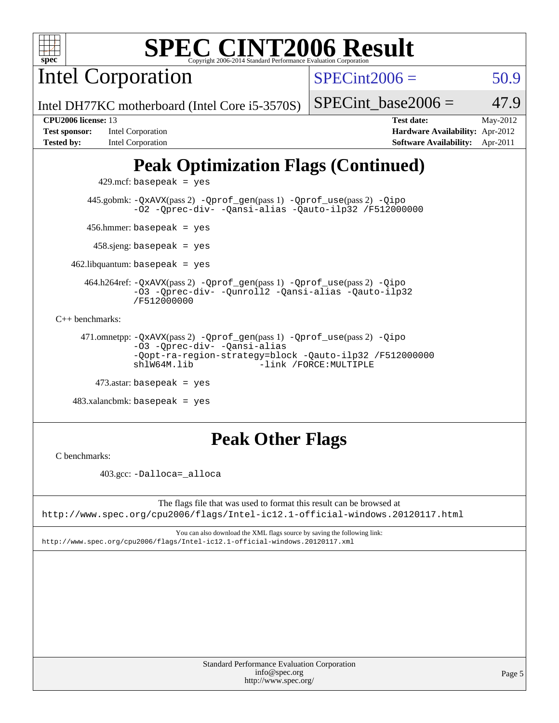

Intel Corporation

 $SPECint2006 = 50.9$  $SPECint2006 = 50.9$ 

Intel DH77KC motherboard (Intel Core i5-3570S)

| <b>Test sponsor:</b> | Intel Corporation |
|----------------------|-------------------|
| <b>Tested by:</b>    | Intel Corporation |

**[CPU2006 license:](http://www.spec.org/auto/cpu2006/Docs/result-fields.html#CPU2006license)** 13 **[Test date:](http://www.spec.org/auto/cpu2006/Docs/result-fields.html#Testdate)** May-2012 **[Hardware Availability:](http://www.spec.org/auto/cpu2006/Docs/result-fields.html#HardwareAvailability)** Apr-2012

**[Software Availability:](http://www.spec.org/auto/cpu2006/Docs/result-fields.html#SoftwareAvailability)** Apr-2011

SPECint base2006 =  $47.9$ 

# **[Peak Optimization Flags \(Continued\)](http://www.spec.org/auto/cpu2006/Docs/result-fields.html#PeakOptimizationFlags)**

 $429$ .mcf: basepeak = yes

 445.gobmk: [-QxAVX](http://www.spec.org/cpu2006/results/res2012q3/cpu2006-20120702-23380.flags.html#user_peakPASS2_CFLAGSPASS2_LDFLAGS445_gobmk_f-QxAVX)(pass 2) [-Qprof\\_gen](http://www.spec.org/cpu2006/results/res2012q3/cpu2006-20120702-23380.flags.html#user_peakPASS1_CFLAGSPASS1_LDFLAGS445_gobmk_Qprof_gen)(pass 1) [-Qprof\\_use](http://www.spec.org/cpu2006/results/res2012q3/cpu2006-20120702-23380.flags.html#user_peakPASS2_CFLAGSPASS2_LDFLAGS445_gobmk_Qprof_use)(pass 2) [-Qipo](http://www.spec.org/cpu2006/results/res2012q3/cpu2006-20120702-23380.flags.html#user_peakOPTIMIZE445_gobmk_f-Qipo) [-O2](http://www.spec.org/cpu2006/results/res2012q3/cpu2006-20120702-23380.flags.html#user_peakOPTIMIZE445_gobmk_f-O2) [-Qprec-div-](http://www.spec.org/cpu2006/results/res2012q3/cpu2006-20120702-23380.flags.html#user_peakOPTIMIZE445_gobmk_f-Qprec-div-) [-Qansi-alias](http://www.spec.org/cpu2006/results/res2012q3/cpu2006-20120702-23380.flags.html#user_peakOPTIMIZE445_gobmk_f-Qansi-alias) [-Qauto-ilp32](http://www.spec.org/cpu2006/results/res2012q3/cpu2006-20120702-23380.flags.html#user_peakCOPTIMIZE445_gobmk_f-Qauto-ilp32) [/F512000000](http://www.spec.org/cpu2006/results/res2012q3/cpu2006-20120702-23380.flags.html#user_peakEXTRA_LDFLAGS445_gobmk_set_stack_space_98438a10eb60aa5f35f4c79d9b9b27b1)

456.hmmer: basepeak = yes

458.sjeng: basepeak = yes

 $462$ .libquantum: basepeak = yes

 464.h264ref: [-QxAVX](http://www.spec.org/cpu2006/results/res2012q3/cpu2006-20120702-23380.flags.html#user_peakPASS2_CFLAGSPASS2_LDFLAGS464_h264ref_f-QxAVX)(pass 2) [-Qprof\\_gen](http://www.spec.org/cpu2006/results/res2012q3/cpu2006-20120702-23380.flags.html#user_peakPASS1_CFLAGSPASS1_LDFLAGS464_h264ref_Qprof_gen)(pass 1) [-Qprof\\_use](http://www.spec.org/cpu2006/results/res2012q3/cpu2006-20120702-23380.flags.html#user_peakPASS2_CFLAGSPASS2_LDFLAGS464_h264ref_Qprof_use)(pass 2) [-Qipo](http://www.spec.org/cpu2006/results/res2012q3/cpu2006-20120702-23380.flags.html#user_peakOPTIMIZE464_h264ref_f-Qipo) [-O3](http://www.spec.org/cpu2006/results/res2012q3/cpu2006-20120702-23380.flags.html#user_peakOPTIMIZE464_h264ref_f-O3) [-Qprec-div-](http://www.spec.org/cpu2006/results/res2012q3/cpu2006-20120702-23380.flags.html#user_peakOPTIMIZE464_h264ref_f-Qprec-div-) [-Qunroll2](http://www.spec.org/cpu2006/results/res2012q3/cpu2006-20120702-23380.flags.html#user_peakOPTIMIZE464_h264ref_f-Qunroll_1d9456aa650e77fc2a0cf43cef3fa08c) [-Qansi-alias](http://www.spec.org/cpu2006/results/res2012q3/cpu2006-20120702-23380.flags.html#user_peakOPTIMIZE464_h264ref_f-Qansi-alias) [-Qauto-ilp32](http://www.spec.org/cpu2006/results/res2012q3/cpu2006-20120702-23380.flags.html#user_peakCOPTIMIZE464_h264ref_f-Qauto-ilp32) [/F512000000](http://www.spec.org/cpu2006/results/res2012q3/cpu2006-20120702-23380.flags.html#user_peakEXTRA_LDFLAGS464_h264ref_set_stack_space_98438a10eb60aa5f35f4c79d9b9b27b1)

[C++ benchmarks:](http://www.spec.org/auto/cpu2006/Docs/result-fields.html#CXXbenchmarks)

 471.omnetpp: [-QxAVX](http://www.spec.org/cpu2006/results/res2012q3/cpu2006-20120702-23380.flags.html#user_peakPASS2_CXXFLAGSPASS2_LDFLAGS471_omnetpp_f-QxAVX)(pass 2) [-Qprof\\_gen](http://www.spec.org/cpu2006/results/res2012q3/cpu2006-20120702-23380.flags.html#user_peakPASS1_CXXFLAGSPASS1_LDFLAGS471_omnetpp_Qprof_gen)(pass 1) [-Qprof\\_use](http://www.spec.org/cpu2006/results/res2012q3/cpu2006-20120702-23380.flags.html#user_peakPASS2_CXXFLAGSPASS2_LDFLAGS471_omnetpp_Qprof_use)(pass 2) [-Qipo](http://www.spec.org/cpu2006/results/res2012q3/cpu2006-20120702-23380.flags.html#user_peakOPTIMIZE471_omnetpp_f-Qipo) [-O3](http://www.spec.org/cpu2006/results/res2012q3/cpu2006-20120702-23380.flags.html#user_peakOPTIMIZE471_omnetpp_f-O3) [-Qprec-div-](http://www.spec.org/cpu2006/results/res2012q3/cpu2006-20120702-23380.flags.html#user_peakOPTIMIZE471_omnetpp_f-Qprec-div-) [-Qansi-alias](http://www.spec.org/cpu2006/results/res2012q3/cpu2006-20120702-23380.flags.html#user_peakOPTIMIZE471_omnetpp_f-Qansi-alias) [-Qopt-ra-region-strategy=block](http://www.spec.org/cpu2006/results/res2012q3/cpu2006-20120702-23380.flags.html#user_peakOPTIMIZE471_omnetpp_f-Qopt-ra-region-strategy_d2240e80a5d9053a1fd400255dbf4159) [-Qauto-ilp32](http://www.spec.org/cpu2006/results/res2012q3/cpu2006-20120702-23380.flags.html#user_peakCXXOPTIMIZE471_omnetpp_f-Qauto-ilp32) [/F512000000](http://www.spec.org/cpu2006/results/res2012q3/cpu2006-20120702-23380.flags.html#user_peakEXTRA_LDFLAGS471_omnetpp_set_stack_space_98438a10eb60aa5f35f4c79d9b9b27b1) -link /FORCE: MULTIPLE

 $473$ .astar: basepeak = yes

 $483.xalanchmk: basepeak = yes$ 

## **[Peak Other Flags](http://www.spec.org/auto/cpu2006/Docs/result-fields.html#PeakOtherFlags)**

[C benchmarks](http://www.spec.org/auto/cpu2006/Docs/result-fields.html#Cbenchmarks):

403.gcc: [-Dalloca=\\_alloca](http://www.spec.org/cpu2006/results/res2012q3/cpu2006-20120702-23380.flags.html#b403.gcc_peakEXTRA_CFLAGS_Dalloca_be3056838c12de2578596ca5467af7f3)

The flags file that was used to format this result can be browsed at <http://www.spec.org/cpu2006/flags/Intel-ic12.1-official-windows.20120117.html>

You can also download the XML flags source by saving the following link: <http://www.spec.org/cpu2006/flags/Intel-ic12.1-official-windows.20120117.xml>